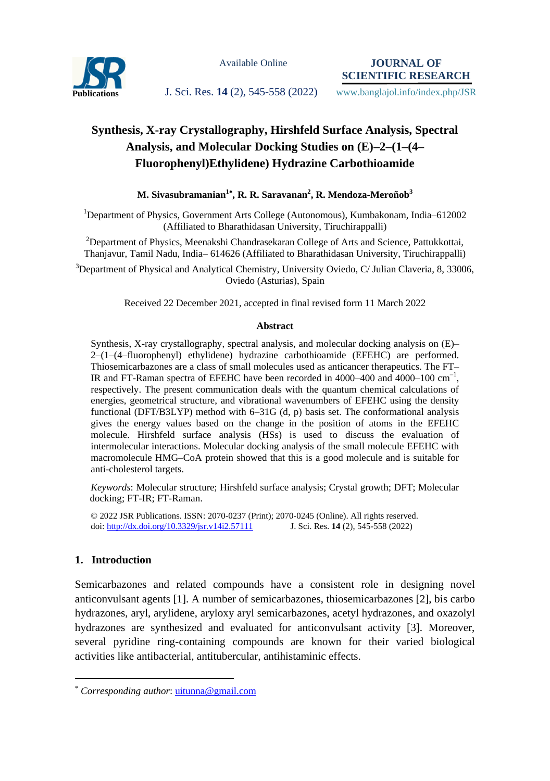

Available Online

**JOURNAL OF SCIENTIFIC RESEARCH**

Publications **J. Sci. Res. 14** (2), 545-558 (2022) www.banglajol.info/index.php/JSR

# **Synthesis, X-ray Crystallography, Hirshfeld Surface Analysis, Spectral Analysis, and Molecular Docking Studies on (E)–2–(1–(4– Fluorophenyl)Ethylidene) Hydrazine Carbothioamide**

### **M. Sivasubramanian<sup>1</sup> , R. R. Saravanan<sup>2</sup> , R. Mendoza-Meroñob<sup>3</sup>**

<sup>1</sup>Department of Physics, Government Arts College (Autonomous), Kumbakonam, India–612002 (Affiliated to Bharathidasan University, Tiruchirappalli)

<sup>2</sup>Department of Physics, Meenakshi Chandrasekaran College of Arts and Science, Pattukkottai, Thanjavur, Tamil Nadu, India– 614626 (Affiliated to Bharathidasan University, Tiruchirappalli)

 $3$ Department of Physical and Analytical Chemistry, University Oviedo, C/ Julian Claveria, 8, 33006, Oviedo (Asturias), Spain

Received 22 December 2021, accepted in final revised form 11 March 2022

#### **Abstract**

Synthesis, X-ray crystallography, spectral analysis, and molecular docking analysis on (E)– 2–(1–(4–fluorophenyl) ethylidene) hydrazine carbothioamide (EFEHC) are performed. Thiosemicarbazones are a class of small molecules used as anticancer therapeutics. The FT– IR and FT-Raman spectra of EFEHC have been recorded in 4000–400 and 4000–100  $\text{cm}^{-1}$ , respectively. The present communication deals with the quantum chemical calculations of energies, geometrical structure, and vibrational wavenumbers of EFEHC using the density functional (DFT/B3LYP) method with 6–31G (d, p) basis set. The conformational analysis gives the energy values based on the change in the position of atoms in the EFEHC molecule. Hirshfeld surface analysis (HSs) is used to discuss the evaluation of intermolecular interactions. Molecular docking analysis of the small molecule EFEHC with macromolecule HMG–CoA protein showed that this is a good molecule and is suitable for anti-cholesterol targets.

*Keywords*: Molecular structure; Hirshfeld surface analysis; Crystal growth; DFT; Molecular docking; FT-IR; FT-Raman.

© 2022 JSR Publications. ISSN: 2070-0237 (Print); 2070-0245 (Online). All rights reserved. doi:<http://dx.doi.org/10.3329/jsr.v14i2.57111>J. Sci. Res. **14** (2), 545-558 (2022)

# **1. Introduction**

 $\overline{a}$ 

Semicarbazones and related compounds have a consistent role in designing novel anticonvulsant agents [1]. A number of semicarbazones, thiosemicarbazones [2], bis carbo hydrazones, aryl, arylidene, aryloxy aryl semicarbazones, acetyl hydrazones, and oxazolyl hydrazones are synthesized and evaluated for anticonvulsant activity [3]. Moreover, several pyridine ring-containing compounds are known for their varied biological activities like antibacterial, antitubercular, antihistaminic effects.

*Corresponding author*: [uitunna@gmail.com](mailto:mahbubchem@cu.ac.bd)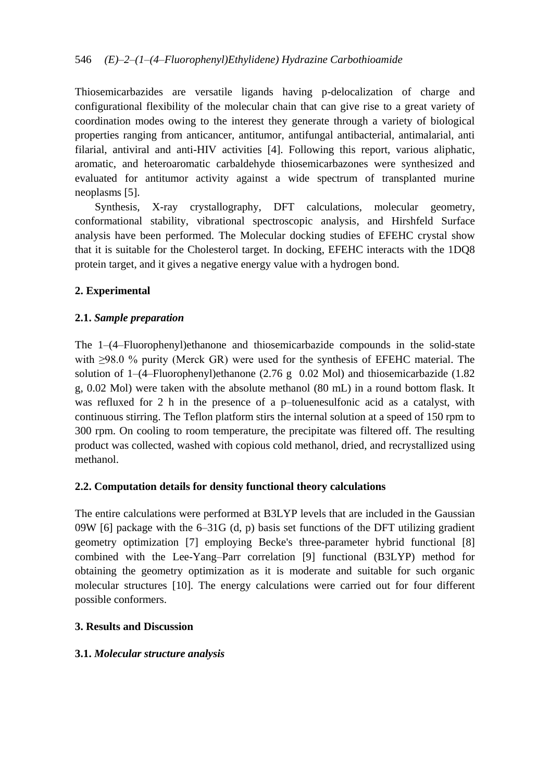Thiosemicarbazides are versatile ligands having p-delocalization of charge and configurational flexibility of the molecular chain that can give rise to a great variety of coordination modes owing to the interest they generate through a variety of biological properties ranging from anticancer, antitumor, antifungal antibacterial, antimalarial, anti filarial, antiviral and anti-HIV activities [4]. Following this report, various aliphatic, aromatic, and heteroaromatic carbaldehyde thiosemicarbazones were synthesized and evaluated for antitumor activity against a wide spectrum of transplanted murine neoplasms [5].

Synthesis, X-ray crystallography, DFT calculations, molecular geometry, conformational stability, vibrational spectroscopic analysis, and Hirshfeld Surface analysis have been performed. The Molecular docking studies of EFEHC crystal show that it is suitable for the Cholesterol target. In docking, EFEHC interacts with the 1DQ8 protein target, and it gives a negative energy value with a hydrogen bond.

# **2. Experimental**

# **2.1.** *Sample preparation*

The 1–(4–Fluorophenyl)ethanone and thiosemicarbazide compounds in the solid-state with ≥98.0 % purity (Merck GR) were used for the synthesis of EFEHC material. The solution of  $1-(4-Fluorophenyl)$ ethanone (2.76 g 0.02 Mol) and thiosemicarbazide (1.82 g, 0.02 Mol) were taken with the absolute methanol (80 mL) in a round bottom flask. It was refluxed for 2 h in the presence of a p–toluenesulfonic acid as a catalyst, with continuous stirring. The Teflon platform stirs the internal solution at a speed of 150 rpm to 300 rpm. On cooling to room temperature, the precipitate was filtered off. The resulting product was collected, washed with copious cold methanol, dried, and recrystallized using methanol.

# **2.2. Computation details for density functional theory calculations**

The entire calculations were performed at B3LYP levels that are included in the Gaussian 09W [6] package with the  $6-31G$  (d, p) basis set functions of the DFT utilizing gradient geometry optimization [7] employing Becke's three-parameter hybrid functional [8] combined with the Lee-Yang–Parr correlation [9] functional (B3LYP) method for obtaining the geometry optimization as it is moderate and suitable for such organic molecular structures [10]. The energy calculations were carried out for four different possible conformers.

# **3. Results and Discussion**

### **3.1.** *Molecular structure analysis*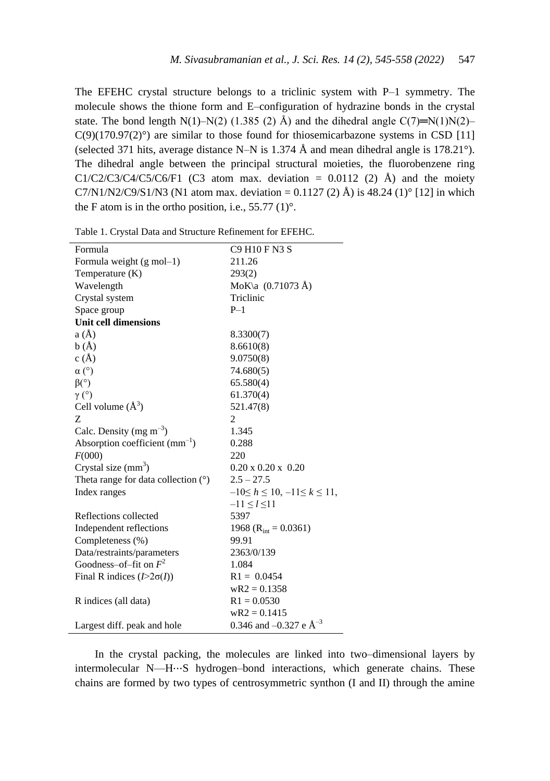The EFEHC crystal structure belongs to a triclinic system with P–1 symmetry. The molecule shows the thione form and E–configuration of hydrazine bonds in the crystal state. The bond length N(1)–N(2) (1.385 (2) Å) and the dihedral angle  $C(7)=N(1)N(2)$ –  $C(9)(170.97(2)°)$  are similar to those found for thiosemicarbazone systems in CSD [11] (selected 371 hits, average distance N–N is 1.374 Å and mean dihedral angle is 178.21 $^{\circ}$ ). The dihedral angle between the principal structural moieties, the fluorobenzene ring  $C1/C2/C3/C4/C5/C6/F1$  (C3 atom max. deviation = 0.0112 (2) Å) and the moiety C7/N1/N2/C9/S1/N3 (N1 atom max. deviation = 0.1127 (2)  $\hat{A}$ ) is 48.24 (1)° [12] in which the F atom is in the ortho position, i.e.,  $55.77(1)^\circ$ .

| Formula                                  | C9 H10 F N3 S                         |
|------------------------------------------|---------------------------------------|
| Formula weight (g mol-1)                 | 211.26                                |
| Temperature (K)                          | 293(2)                                |
| Wavelength                               | MoK $\a$ (0.71073 Å)                  |
| Crystal system                           | Triclinic                             |
| Space group                              | $P-1$                                 |
| <b>Unit cell dimensions</b>              |                                       |
| a(A)                                     | 8.3300(7)                             |
| b(A)                                     | 8.6610(8)                             |
| c(A)                                     | 9.0750(8)                             |
| $\alpha$ (°)                             | 74.680(5)                             |
| $\beta$ <sup>(<math>\circ</math></sup> ) | 65.580(4)                             |
| $\gamma$ (°)                             | 61.370(4)                             |
| Cell volume $(\AA^3)$                    | 521.47(8)                             |
| Z                                        | 2                                     |
| Calc. Density (mg $m^{-3}$ )             | 1.345                                 |
| Absorption coefficient $(mm^{-1})$       | 0.288                                 |
| F(000)                                   | 220                                   |
| Crystal size $(mm3)$                     | $0.20 \times 0.20 \times 0.20$        |
| Theta range for data collection $(°)$    | $2.5 - 27.5$                          |
| Index ranges                             | $-10 \le h \le 10, -11 \le k \le 11,$ |
|                                          | $-11 \le l \le 11$                    |
| Reflections collected                    | 5397                                  |
| Independent reflections                  | 1968 ( $R_{\text{int}} = 0.0361$ )    |
| Completeness (%)                         | 99.91                                 |
| Data/restraints/parameters               | 2363/0/139                            |
| Goodness-of-fit on $F^2$                 | 1.084                                 |
| Final R indices $(I>2\sigma(I))$         | $R1 = 0.0454$                         |
|                                          | $wR2 = 0.1358$                        |
| R indices (all data)                     | $R1 = 0.0530$                         |
|                                          | $wR2 = 0.1415$                        |
| Largest diff. peak and hole              | 0.346 and $-0.327$ e $\AA^{-3}$       |

Table 1. Crystal Data and Structure Refinement for EFEHC.

In the crystal packing, the molecules are linked into two–dimensional layers by intermolecular N—H⋯S hydrogen–bond interactions, which generate chains. These chains are formed by two types of centrosymmetric synthon (I and II) through the amine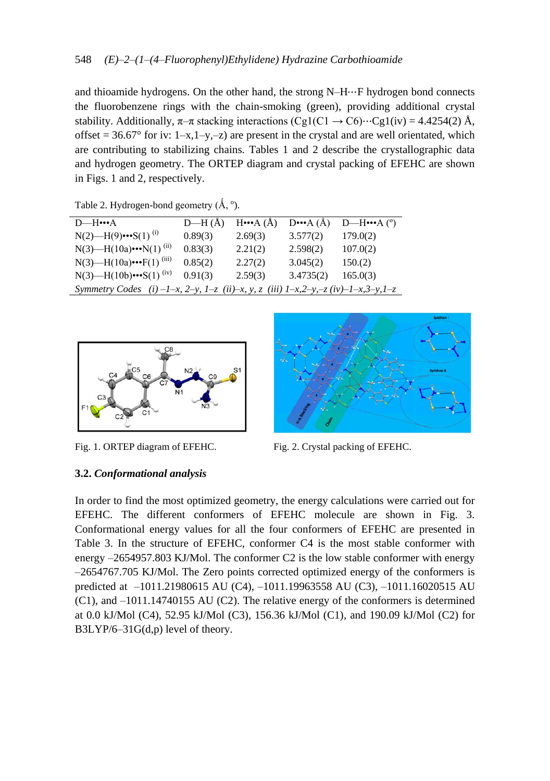and thioamide hydrogens. On the other hand, the strong N–H⋯F hydrogen bond connects the fluorobenzene rings with the chain-smoking (green), providing additional crystal stability. Additionally,  $\pi-\pi$  stacking interactions  $(Cg1(C1 \rightarrow C6) \cdots Cg1(iv) = 4.4254(2)$  Å, offset =  $36.67^{\circ}$  for iv: 1–x,1–y,–z) are present in the crystal and are well orientated, which are contributing to stabilizing chains. Tables 1 and 2 describe the crystallographic data and hydrogen geometry. The ORTEP diagram and crystal packing of EFEHC are shown in Figs. 1 and 2, respectively.

| $D$ —H $\cdots$ A                                                                                                      | $D-H(A)$ | $H^{\bullet \bullet \bullet}(A)$ | $D^{\bullet \bullet \bullet}(A)$ | D—H $\cdots$ A $(°)$ |
|------------------------------------------------------------------------------------------------------------------------|----------|----------------------------------|----------------------------------|----------------------|
| $N(2)$ —H(9) $\cdot\cdot\cdot$ S(1) <sup>(i)</sup>                                                                     | 0.89(3)  | 2.69(3)                          | 3.577(2)                         | 179.0(2)             |
| N(3)—H(10a) $\cdot \cdot \cdot N(1)^{(ii)}$                                                                            | 0.83(3)  | 2.21(2)                          | 2.598(2)                         | 107.0(2)             |
| N(3)—H(10a) $\cdot\cdot\cdot$ F(1) <sup>(iii)</sup>                                                                    | 0.85(2)  | 2.27(2)                          | 3.045(2)                         | 150(2)               |
| $N(3)$ —H(10b) $\cdot\cdot\cdot S(1)$ <sup>(iv)</sup>                                                                  | 0.91(3)  | 2.59(3)                          | 3.4735(2)                        | 165.0(3)             |
| Symmetry Codes (i) $-1-x$ , $2-y$ , $1-z$ (ii) $-x$ , $y$ , $z$ (iii) $1-x$ , $2-y$ , $-z$ (iv) $-1-x$ , $3-y$ , $1-z$ |          |                                  |                                  |                      |

Table 2. Hydrogen-bond geometry  $(\AA, \degree)$ .



Fig. 1. ORTEP diagram of EFEHC. Fig. 2. Crystal packing of EFEHC.



### **3.2.** *Conformational analysis*

In order to find the most optimized geometry, the energy calculations were carried out for EFEHC. The different conformers of EFEHC molecule are shown in Fig. 3. Conformational energy values for all the four conformers of EFEHC are presented in Table 3. In the structure of EFEHC, conformer C4 is the most stable conformer with energy –2654957.803 KJ/Mol. The conformer C2 is the low stable conformer with energy –2654767.705 KJ/Mol. The Zero points corrected optimized energy of the conformers is predicted at –1011.21980615 AU (C4), –1011.19963558 AU (C3), –1011.16020515 AU (C1), and –1011.14740155 AU (C2). The relative energy of the conformers is determined at 0.0 kJ/Mol (C4), 52.95 kJ/Mol (C3), 156.36 kJ/Mol (C1), and 190.09 kJ/Mol (C2) for B3LYP/6–31G(d,p) level of theory.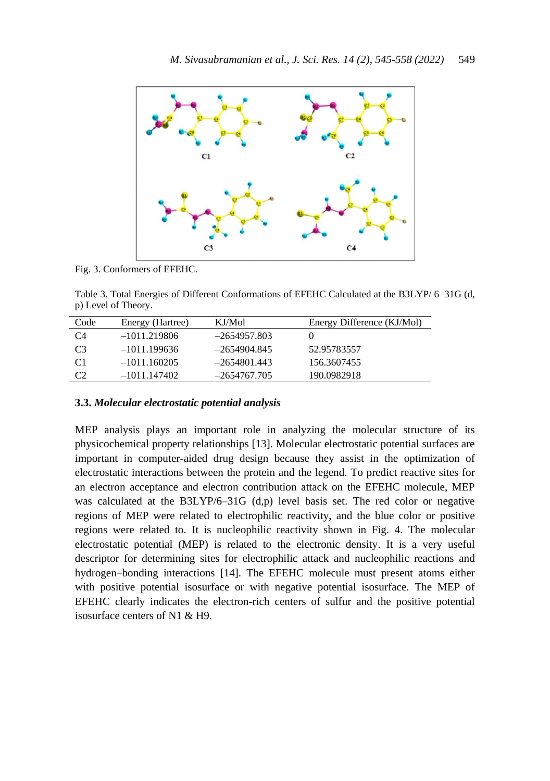

Fig. 3. Conformers of EFEHC.

Table 3. Total Energies of Different Conformations of EFEHC Calculated at the B3LYP/ 6–31G (d, p) Level of Theory.

| Code           | Energy (Hartree) | KJ/Mol         | Energy Difference (KJ/Mol) |
|----------------|------------------|----------------|----------------------------|
| C <sub>4</sub> | $-1011.219806$   | $-2654957.803$ |                            |
| C <sub>3</sub> | $-1011.199636$   | $-2654904.845$ | 52.95783557                |
| C <sub>1</sub> | $-1011.160205$   | $-2654801.443$ | 156.3607455                |
| C <sub>2</sub> | $-1011.147402$   | $-2654767.705$ | 190.0982918                |

#### **3.3.** *Molecular electrostatic potential analysis*

MEP analysis plays an important role in analyzing the molecular structure of its physicochemical property relationships [13]. Molecular electrostatic potential surfaces are important in computer-aided drug design because they assist in the optimization of electrostatic interactions between the protein and the legend. To predict reactive sites for an electron acceptance and electron contribution attack on the EFEHC molecule, MEP was calculated at the  $B3LYP/6-31G$  (d,p) level basis set. The red color or negative regions of MEP were related to electrophilic reactivity, and the blue color or positive regions were related to. It is nucleophilic reactivity shown in Fig. 4. The molecular electrostatic potential (MEP) is related to the electronic density. It is a very useful descriptor for determining sites for electrophilic attack and nucleophilic reactions and hydrogen–bonding interactions [14]. The EFEHC molecule must present atoms either with positive potential isosurface or with negative potential isosurface. The MEP of EFEHC clearly indicates the electron-rich centers of sulfur and the positive potential isosurface centers of N1 & H9.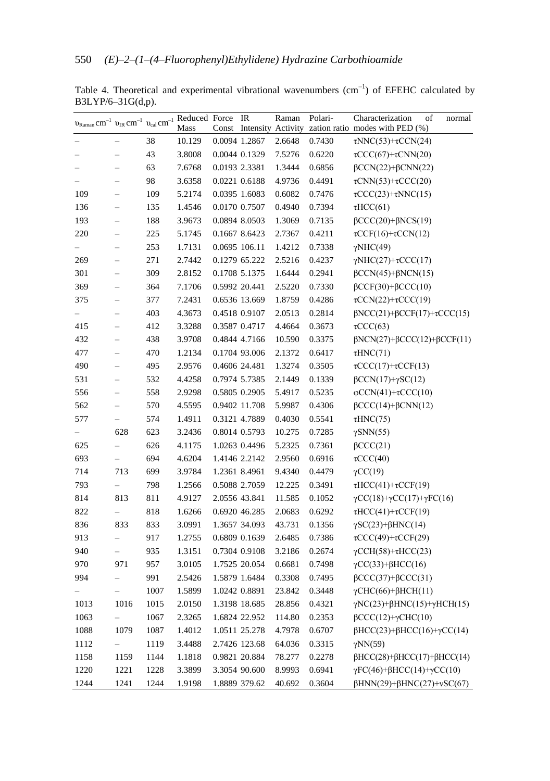| $v_{\text{Raman}} \text{cm}^{-1}$ $v_{\text{IR}} \text{cm}^{-1}$ $v_{\text{cal}} \text{cm}^{-1}$ Reduced Force |                          |      |        | Const | IR<br>Intensity Activity | Raman  | Polari- | Characterization<br>of<br>normal<br>zation ratio modes with PED (%) |
|----------------------------------------------------------------------------------------------------------------|--------------------------|------|--------|-------|--------------------------|--------|---------|---------------------------------------------------------------------|
|                                                                                                                |                          | 38   | 10.129 |       | 0.0094 1.2867            | 2.6648 | 0.7430  | $\tau NNC(53)+\tau CCN(24)$                                         |
|                                                                                                                | $\overline{\phantom{0}}$ | 43   | 3.8008 |       | 0.0044 0.1329            | 7.5276 | 0.6220  | $\tau$ CCC(67)+ $\tau$ CNN(20)                                      |
|                                                                                                                | $\overline{\phantom{0}}$ | 63   | 7.6768 |       | 0.0193 2.3381            | 1.3444 | 0.6856  | $\beta$ CCN(22)+ $\beta$ CNN(22)                                    |
|                                                                                                                | $\overline{\phantom{0}}$ | 98   | 3.6358 |       | 0.0221 0.6188            | 4.9736 | 0.4491  | $\tau$ CNN(53)+ $\tau$ CCC(20)                                      |
| 109                                                                                                            | $\overline{\phantom{0}}$ | 109  | 5.2174 |       | 0.0395 1.6083            | 0.6082 | 0.7476  | $\tau$ CCC(23)+ $\tau$ NNC(15)                                      |
| 136                                                                                                            | $\overline{\phantom{0}}$ | 135  | 1.4546 |       | 0.0170 0.7507            | 0.4940 | 0.7394  | $\tau HCC(61)$                                                      |
| 193                                                                                                            | $\overline{\phantom{0}}$ | 188  | 3.9673 |       | 0.0894 8.0503            | 1.3069 | 0.7135  | $\beta$ CCC(20)+ $\beta$ NCS(19)                                    |
| 220                                                                                                            | $\overline{\phantom{0}}$ | 225  | 5.1745 |       | 0.1667 8.6423            | 2.7367 | 0.4211  | $\tau CCF(16)+\tau CCN(12)$                                         |
|                                                                                                                | $\overline{\phantom{0}}$ | 253  | 1.7131 |       | 0.0695 106.11            | 1.4212 | 0.7338  | $\gamma$ NHC(49)                                                    |
| 269                                                                                                            | $\overline{\phantom{0}}$ | 271  | 2.7442 |       | 0.1279 65.222            | 2.5216 | 0.4237  | $\gamma NHC(27)+\tau CCC(17)$                                       |
| 301                                                                                                            | $\overline{\phantom{0}}$ | 309  | 2.8152 |       | 0.1708 5.1375            | 1.6444 | 0.2941  | $\beta$ CCN(45)+ $\beta$ NCN(15)                                    |
| 369                                                                                                            | $\overline{\phantom{0}}$ | 364  | 7.1706 |       | 0.5992 20.441            | 2.5220 | 0.7330  | $\beta$ CCF(30)+ $\beta$ CCC(10)                                    |
| 375                                                                                                            | $\overline{\phantom{0}}$ | 377  | 7.2431 |       | 0.6536 13.669            | 1.8759 | 0.4286  | $\tau$ CCN(22)+ $\tau$ CCC(19)                                      |
|                                                                                                                | $\overline{\phantom{0}}$ | 403  | 4.3673 |       | 0.4518 0.9107            | 2.0513 | 0.2814  | $\beta$ NCC(21)+ $\beta$ CCF(17)+ $\tau$ CCC(15)                    |
| 415                                                                                                            | $\overline{\phantom{0}}$ | 412  | 3.3288 |       | 0.3587 0.4717            | 4.4664 | 0.3673  | $\tau$ CCC(63)                                                      |
| 432                                                                                                            | $\overline{\phantom{0}}$ | 438  | 3.9708 |       | 0.4844 4.7166            | 10.590 | 0.3375  | $\beta$ NCN(27)+ $\beta$ CCC(12)+ $\beta$ CCF(11)                   |
| 477                                                                                                            | $\overline{\phantom{0}}$ | 470  | 1.2134 |       | 0.1704 93.006            | 2.1372 | 0.6417  | $\tau HNC(71)$                                                      |
| 490                                                                                                            | $\overline{\phantom{0}}$ | 495  | 2.9576 |       | 0.4606 24.481            | 1.3274 | 0.3505  | $\tau CCC(17)+\tau CCF(13)$                                         |
| 531                                                                                                            | $\overline{\phantom{0}}$ | 532  | 4.4258 |       | 0.7974 5.7385            | 2.1449 | 0.1339  | $\beta$ CCN(17)+ $\gamma$ SC(12)                                    |
| 556                                                                                                            | $\overline{\phantom{0}}$ | 558  | 2.9298 |       | 0.5805 0.2905            | 5.4917 | 0.5235  | $\varphi$ CCN(41)+ $\tau$ CCC(10)                                   |
| 562                                                                                                            | $\overline{\phantom{0}}$ | 570  | 4.5595 |       | 0.9402 11.708            | 5.9987 | 0.4306  | $\beta$ CCC(14)+ $\beta$ CNN(12)                                    |
| 577                                                                                                            | $\overline{\phantom{0}}$ | 574  | 1.4911 |       | 0.3121 4.7889            | 0.4030 | 0.5541  | $\tau$ HNC(75)                                                      |
|                                                                                                                | 628                      | 623  | 3.2436 |       | 0.8014 0.5793            | 10.275 | 0.7285  | $\gamma$ SNN(55)                                                    |
| 625                                                                                                            | $\overline{\phantom{0}}$ | 626  | 4.1175 |       | 1.0263 0.4496            | 5.2325 | 0.7361  | $\beta$ CCC(21)                                                     |
| 693                                                                                                            | $\overline{\phantom{0}}$ | 694  | 4.6204 |       | 1.4146 2.2142            | 2.9560 | 0.6916  | $\tau$ CCC(40)                                                      |
| 714                                                                                                            | 713                      | 699  | 3.9784 |       | 1.2361 8.4961            | 9.4340 | 0.4479  | $\gamma CC(19)$                                                     |
| 793                                                                                                            | $\overline{a}$           | 798  | 1.2566 |       | 0.5088 2.7059            | 12.225 | 0.3491  | $\tau HCC(41)+\tau CCF(19)$                                         |
| 814                                                                                                            | 813                      | 811  | 4.9127 |       | 2.0556 43.841            | 11.585 | 0.1052  | $\gamma CC(18)+\gamma CC(17)+\gamma FC(16)$                         |
| 822                                                                                                            | $\overline{\phantom{0}}$ | 818  | 1.6266 |       | 0.6920 46.285            | 2.0683 | 0.6292  | $\tau HCC(41)+\tau CCF(19)$                                         |
| 836                                                                                                            | 833                      | 833  | 3.0991 |       | 1.3657 34.093            | 43.731 | 0.1356  | $\gamma$ SC(23)+ $\beta$ HNC(14)                                    |
| 913                                                                                                            | $\overline{\phantom{0}}$ | 917  | 1.2755 |       | 0.6809 0.1639            | 2.6485 | 0.7386  | $\tau$ CCC(49)+ $\tau$ CCF(29)                                      |
| 940                                                                                                            | $\overline{\phantom{0}}$ | 935  | 1.3151 |       | 0.7304 0.9108            | 3.2186 | 0.2674  | $\gamma$ CCH(58)+ $\tau$ HCC(23)                                    |
| 970                                                                                                            | 971                      | 957  | 3.0105 |       | 1.7525 20.054            | 0.6681 | 0.7498  | $\gamma CC(33)+\beta HCC(16)$                                       |
| 994                                                                                                            | $\overline{\phantom{0}}$ | 991  | 2.5426 |       | 1.5879 1.6484            | 0.3308 | 0.7495  | $\beta$ CCC(37)+ $\beta$ CCC(31)                                    |
|                                                                                                                | $\overline{\phantom{0}}$ | 1007 | 1.5899 |       | 1.0242 0.8891            | 23.842 | 0.3448  | $\gamma$ CHC(66)+ $\beta$ HCH(11)                                   |
| 1013                                                                                                           | 1016                     | 1015 | 2.0150 |       | 1.3198 18.685            | 28.856 | 0.4321  | $\gamma NC(23)+\beta HNC(15)+\gamma HCH(15)$                        |
| 1063                                                                                                           | $\overline{\phantom{0}}$ | 1067 | 2.3265 |       | 1.6824 22.952            | 114.80 | 0.2353  | $\beta$ CCC(12)+ $\gamma$ CHC(10)                                   |
| 1088                                                                                                           | 1079                     | 1087 | 1.4012 |       | 1.0511 25.278            | 4.7978 | 0.6707  | $\beta$ HCC(23)+ $\beta$ HCC(16)+ $\gamma$ CC(14)                   |
| 1112                                                                                                           | $\overline{\phantom{0}}$ | 1119 | 3.4488 |       | 2.7426 123.68            | 64.036 | 0.3315  | $\gamma NN(59)$                                                     |
| 1158                                                                                                           | 1159                     | 1144 | 1.1818 |       | 0.9821 20.884            | 78.277 | 0.2278  | $\beta$ HCC(28)+ $\beta$ HCC(17)+ $\beta$ HCC(14)                   |
| 1220                                                                                                           | 1221                     | 1228 | 3.3899 |       | 3.3054 90.600            | 8.9993 | 0.6941  | $\gamma$ FC(46)+ $\beta$ HCC(14)+ $\gamma$ CC(10)                   |
| 1244                                                                                                           | 1241                     | 1244 | 1.9198 |       | 1.8889 379.62            | 40.692 | 0.3604  | $\beta$ HNN(29)+ $\beta$ HNC(27)+ $\nu$ SC(67)                      |

Table 4. Theoretical and experimental vibrational wavenumbers  $(cm<sup>-1</sup>)$  of EFEHC calculated by B3LYP/6–31G(d,p).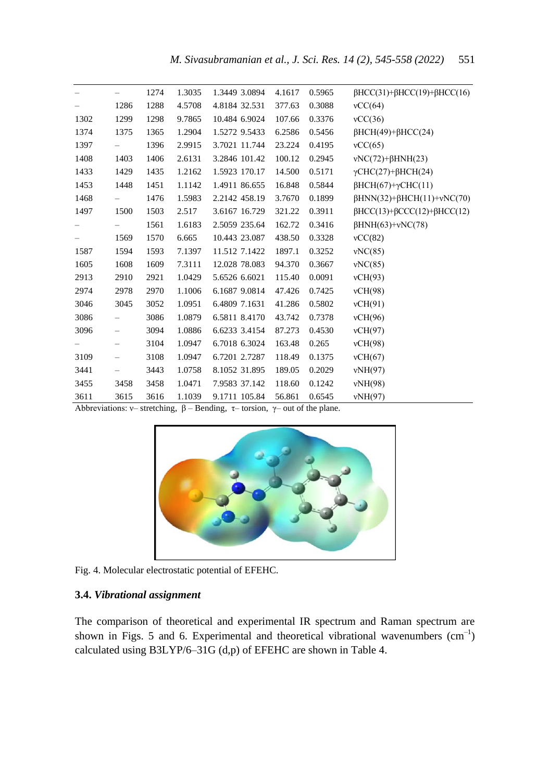|      |                          | 1274 | 1.3035 | 1.3449 3.0894 | 4.1617 | 0.5965 | $\beta$ HCC(31)+ $\beta$ HCC(19)+ $\beta$ HCC(16) |
|------|--------------------------|------|--------|---------------|--------|--------|---------------------------------------------------|
|      | 1286                     | 1288 | 4.5708 | 4.8184 32.531 | 377.63 | 0.3088 | vCC(64)                                           |
| 1302 | 1299                     | 1298 | 9.7865 | 10.484 6.9024 | 107.66 | 0.3376 | vCC(36)                                           |
| 1374 | 1375                     | 1365 | 1.2904 | 1.5272 9.5433 | 6.2586 | 0.5456 | $\beta$ HCH(49)+ $\beta$ HCC(24)                  |
| 1397 | $\overline{\phantom{0}}$ | 1396 | 2.9915 | 3.7021 11.744 | 23.224 | 0.4195 | vCC(65)                                           |
| 1408 | 1403                     | 1406 | 2.6131 | 3.2846 101.42 | 100.12 | 0.2945 | $vNC(72)+\beta HNH(23)$                           |
| 1433 | 1429                     | 1435 | 1.2162 | 1.5923 170.17 | 14.500 | 0.5171 | $\gamma$ CHC(27)+ $\beta$ HCH(24)                 |
| 1453 | 1448                     | 1451 | 1.1142 | 1.4911 86.655 | 16.848 | 0.5844 | $\beta$ HCH(67)+ $\gamma$ CHC(11)                 |
| 1468 |                          | 1476 | 1.5983 | 2.2142 458.19 | 3.7670 | 0.1899 | $\beta$ HNN(32)+ $\beta$ HCH(11)+ $\nu$ NC(70)    |
| 1497 | 1500                     | 1503 | 2.517  | 3.6167 16.729 | 321.22 | 0.3911 | $\beta$ HCC(13)+ $\beta$ CCC(12)+ $\beta$ HCC(12) |
|      |                          | 1561 | 1.6183 | 2.5059 235.64 | 162.72 | 0.3416 | $\beta$ HNH(63)+vNC(78)                           |
|      | 1569                     | 1570 | 6.665  | 10.443 23.087 | 438.50 | 0.3328 | vCC(82)                                           |
| 1587 | 1594                     | 1593 | 7.1397 | 11.512 7.1422 | 1897.1 | 0.3252 | vNC(85)                                           |
| 1605 | 1608                     | 1609 | 7.3111 | 12.028 78.083 | 94.370 | 0.3667 | vNC(85)                                           |
| 2913 | 2910                     | 2921 | 1.0429 | 5.6526 6.6021 | 115.40 | 0.0091 | vCH(93)                                           |
| 2974 | 2978                     | 2970 | 1.1006 | 6.1687 9.0814 | 47.426 | 0.7425 | vCH(98)                                           |
| 3046 | 3045                     | 3052 | 1.0951 | 6.4809 7.1631 | 41.286 | 0.5802 | vCH(91)                                           |
| 3086 | $\overline{\phantom{0}}$ | 3086 | 1.0879 | 6.5811 8.4170 | 43.742 | 0.7378 | vCH(96)                                           |
| 3096 | $\overline{\phantom{0}}$ | 3094 | 1.0886 | 6.6233 3.4154 | 87.273 | 0.4530 | vCH(97)                                           |
|      |                          | 3104 | 1.0947 | 6.7018 6.3024 | 163.48 | 0.265  | vCH(98)                                           |
| 3109 |                          | 3108 | 1.0947 | 6.7201 2.7287 | 118.49 | 0.1375 | vCH(67)                                           |
| 3441 |                          | 3443 | 1.0758 | 8.1052 31.895 | 189.05 | 0.2029 | vNH(97)                                           |
| 3455 | 3458                     | 3458 | 1.0471 | 7.9583 37.142 | 118.60 | 0.1242 | vNH(98)                                           |
| 3611 | 3615                     | 3616 | 1.1039 | 9.1711 105.84 | 56.861 | 0.6545 | vNH(97)                                           |

Abbreviations: ν– stretching, β – Bending, τ– torsion, γ– out of the plane.



Fig. 4. Molecular electrostatic potential of EFEHC.

### **3.4.** *Vibrational assignment*

The comparison of theoretical and experimental IR spectrum and Raman spectrum are shown in Figs. 5 and 6. Experimental and theoretical vibrational wavenumbers  $\text{cm}^{-1}$ ) calculated using B3LYP/6–31G (d,p) of EFEHC are shown in Table 4.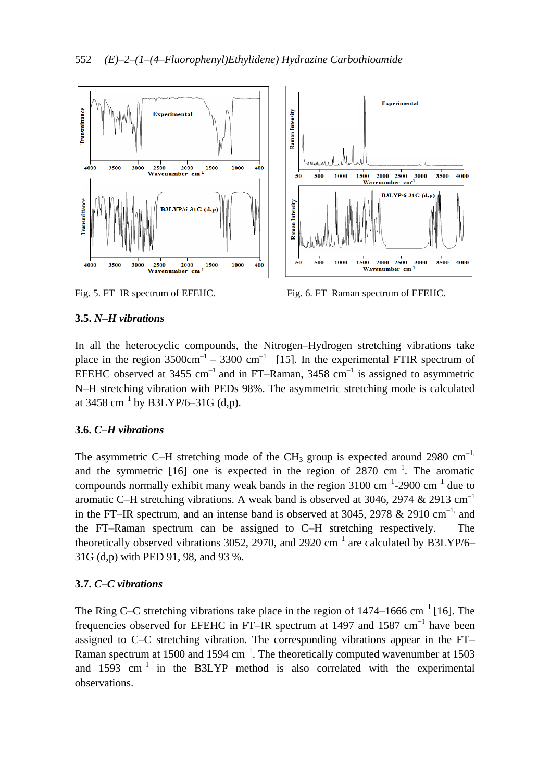

Fig. 5. FT–IR spectrum of EFEHC. Fig. 6. FT–Raman spectrum of EFEHC.

# **3.5.** *N–H vibrations*

In all the heterocyclic compounds, the Nitrogen–Hydrogen stretching vibrations take place in the region  $3500 \text{cm}^{-1}$  –  $3300 \text{cm}^{-1}$  [15]. In the experimental FTIR spectrum of EFEHC observed at 3455  $cm^{-1}$  and in FT–Raman, 3458  $cm^{-1}$  is assigned to asymmetric N–H stretching vibration with PEDs 98%. The asymmetric stretching mode is calculated at 3458  $\text{cm}^{-1}$  by B3LYP/6–31G (d,p).

### **3.6.** *C–H vibrations*

The asymmetric C–H stretching mode of the CH<sub>3</sub> group is expected around 2980 cm<sup>-1,</sup> and the symmetric  $[16]$  one is expected in the region of 2870 cm<sup>-1</sup>. The aromatic compounds normally exhibit many weak bands in the region  $3100 \text{ cm}^{-1}$ -2900 cm<sup>-1</sup> due to aromatic C–H stretching vibrations. A weak band is observed at 3046, 2974  $& 2913 \text{ cm}^{-1}$ in the FT–IR spectrum, and an intense band is observed at 3045, 2978  $&$  2910 cm<sup>-1,</sup> and the FT–Raman spectrum can be assigned to C–H stretching respectively. The theoretically observed vibrations 3052, 2970, and 2920  $\text{cm}^{-1}$  are calculated by B3LYP/6– 31G (d,p) with PED 91, 98, and 93 %.

# **3.7.** *C–C vibrations*

The Ring C–C stretching vibrations take place in the region of 1474–1666 cm<sup>-1</sup> [16]. The frequencies observed for EFEHC in FT–IR spectrum at 1497 and 1587 cm<sup>-1</sup> have been assigned to C–C stretching vibration. The corresponding vibrations appear in the FT– Raman spectrum at 1500 and 1594  $cm^{-1}$ . The theoretically computed wavenumber at 1503 and  $1593 \text{ cm}^{-1}$  in the B3LYP method is also correlated with the experimental observations.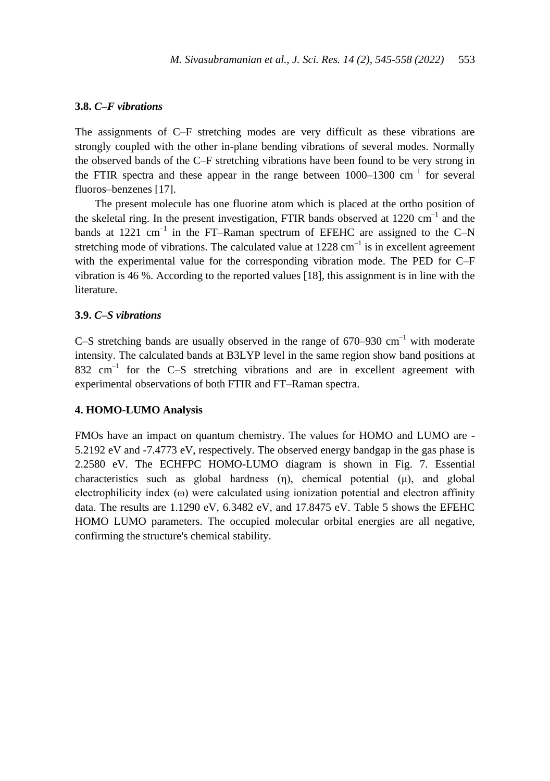#### **3.8.** *C–F vibrations*

The assignments of C–F stretching modes are very difficult as these vibrations are strongly coupled with the other in-plane bending vibrations of several modes. Normally the observed bands of the C–F stretching vibrations have been found to be very strong in the FTIR spectra and these appear in the range between 1000–1300 cm−1 for several fluoros–benzenes [17].

The present molecule has one fluorine atom which is placed at the ortho position of the skeletal ring. In the present investigation, FTIR bands observed at  $1220 \text{ cm}^{-1}$  and the bands at 1221  $\text{cm}^{-1}$  in the FT–Raman spectrum of EFEHC are assigned to the C–N stretching mode of vibrations. The calculated value at  $1228 \text{ cm}^{-1}$  is in excellent agreement with the experimental value for the corresponding vibration mode. The PED for C–F vibration is 46 %. According to the reported values [18], this assignment is in line with the literature.

#### **3.9.** *C–S vibrations*

C–S stretching bands are usually observed in the range of  $670-930$  cm<sup>-1</sup> with moderate intensity. The calculated bands at B3LYP level in the same region show band positions at  $832 \text{ cm}^{-1}$  for the C-S stretching vibrations and are in excellent agreement with experimental observations of both FTIR and FT–Raman spectra.

#### **4. HOMO-LUMO Analysis**

FMOs have an impact on quantum chemistry. The values for HOMO and LUMO are - 5.2192 eV and -7.4773 eV, respectively. The observed energy bandgap in the gas phase is 2.2580 eV. The ECHFPC HOMO-LUMO diagram is shown in Fig. 7. Essential characteristics such as global hardness (η), chemical potential (μ), and global electrophilicity index  $(\omega)$  were calculated using ionization potential and electron affinity data. The results are 1.1290 eV, 6.3482 eV, and 17.8475 eV. Table 5 shows the EFEHC HOMO LUMO parameters. The occupied molecular orbital energies are all negative, confirming the structure's chemical stability.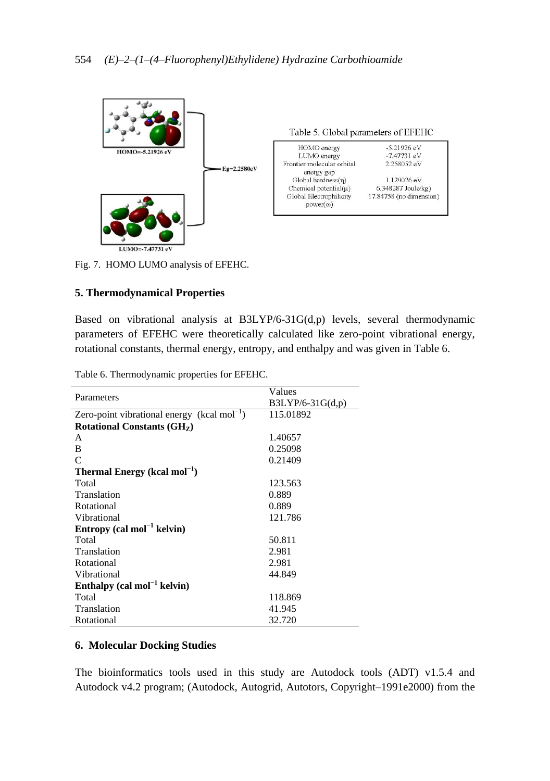

Fig. 7. HOMO LUMO analysis of EFEHC.

### **5. Thermodynamical Properties**

Based on vibrational analysis at B3LYP/6-31G(d,p) levels, several thermodynamic parameters of EFEHC were theoretically calculated like zero-point vibrational energy, rotational constants, thermal energy, entropy, and enthalpy and was given in Table 6.

|                                                         | Values             |  |  |  |  |  |
|---------------------------------------------------------|--------------------|--|--|--|--|--|
| Parameters                                              | $B3LYP/6-31G(d,p)$ |  |  |  |  |  |
| Zero-point vibrational energy (kcal mol <sup>-1</sup> ) | 115.01892          |  |  |  |  |  |
| Rotational Constants (GH <sub>z</sub> )                 |                    |  |  |  |  |  |
| A                                                       | 1.40657            |  |  |  |  |  |
| B                                                       | 0.25098            |  |  |  |  |  |
| $\mathcal{C}$                                           | 0.21409            |  |  |  |  |  |
| Thermal Energy (kcal mol <sup>-1</sup> )                |                    |  |  |  |  |  |
| Total                                                   | 123.563            |  |  |  |  |  |
| Translation                                             | 0.889              |  |  |  |  |  |
| Rotational                                              | 0.889              |  |  |  |  |  |
| Vibrational                                             | 121.786            |  |  |  |  |  |
| Entropy (cal mol <sup>-1</sup> kelvin)                  |                    |  |  |  |  |  |
| Total                                                   | 50.811             |  |  |  |  |  |
| Translation                                             | 2.981              |  |  |  |  |  |
| Rotational                                              | 2.981              |  |  |  |  |  |
| Vibrational                                             | 44.849             |  |  |  |  |  |
| Enthalpy $\text{(cal mol}^{-1}$ kelvin)                 |                    |  |  |  |  |  |
| Total                                                   | 118.869            |  |  |  |  |  |
| Translation                                             | 41.945             |  |  |  |  |  |
| Rotational                                              | 32.720             |  |  |  |  |  |

Table 6. Thermodynamic properties for EFEHC.

### **6. Molecular Docking Studies**

The bioinformatics tools used in this study are Autodock tools (ADT) v1.5.4 and Autodock v4.2 program; (Autodock, Autogrid, Autotors, Copyright–1991e2000) from the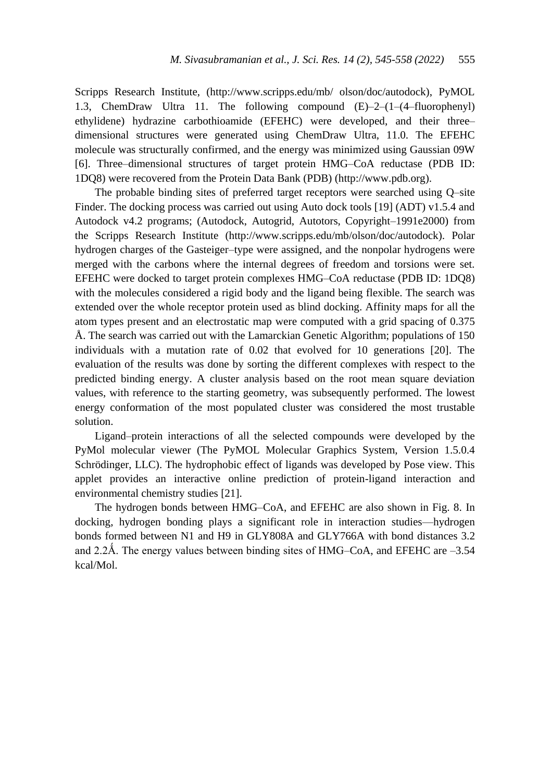Scripps Research Institute, (http://www.scripps.edu/mb/ olson/doc/autodock), PyMOL 1.3, ChemDraw Ultra 11. The following compound (E)–2–(1–(4–fluorophenyl) ethylidene) hydrazine carbothioamide (EFEHC) were developed, and their three– dimensional structures were generated using ChemDraw Ultra, 11.0. The EFEHC molecule was structurally confirmed, and the energy was minimized using Gaussian 09W [6]. Three–dimensional structures of target protein HMG–CoA reductase (PDB ID: 1DQ8) were recovered from the Protein Data Bank (PDB) (http://www.pdb.org).

The probable binding sites of preferred target receptors were searched using Q–site Finder. The docking process was carried out using Auto dock tools [19] (ADT) v1.5.4 and Autodock v4.2 programs; (Autodock, Autogrid, Autotors, Copyright–1991e2000) from the Scripps Research Institute (http://www.scripps.edu/mb/olson/doc/autodock). Polar hydrogen charges of the Gasteiger–type were assigned, and the nonpolar hydrogens were merged with the carbons where the internal degrees of freedom and torsions were set. EFEHC were docked to target protein complexes HMG–CoA reductase (PDB ID: 1DQ8) with the molecules considered a rigid body and the ligand being flexible. The search was extended over the whole receptor protein used as blind docking. Affinity maps for all the atom types present and an electrostatic map were computed with a grid spacing of 0.375 Å. The search was carried out with the Lamarckian Genetic Algorithm; populations of 150 individuals with a mutation rate of 0.02 that evolved for 10 generations [20]. The evaluation of the results was done by sorting the different complexes with respect to the predicted binding energy. A cluster analysis based on the root mean square deviation values, with reference to the starting geometry, was subsequently performed. The lowest energy conformation of the most populated cluster was considered the most trustable solution.

Ligand–protein interactions of all the selected compounds were developed by the PyMol molecular viewer (The PyMOL Molecular Graphics System, Version 1.5.0.4 Schrödinger, LLC). The hydrophobic effect of ligands was developed by Pose view. This applet provides an interactive online prediction of protein-ligand interaction and environmental chemistry studies [21].

The hydrogen bonds between HMG–CoA, and EFEHC are also shown in Fig. 8. In docking, hydrogen bonding plays a significant role in interaction studies—hydrogen bonds formed between N1 and H9 in GLY808A and GLY766A with bond distances 3.2 and 2.2Å. The energy values between binding sites of HMG–CoA, and EFEHC are  $-3.54$ kcal/Mol.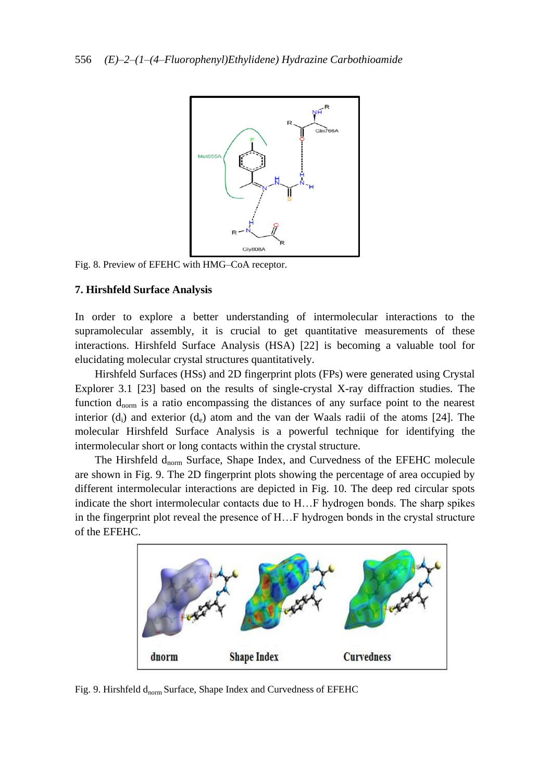

Fig. 8. Preview of EFEHC with HMG–CoA receptor.

#### **7. Hirshfeld Surface Analysis**

In order to explore a better understanding of intermolecular interactions to the supramolecular assembly, it is crucial to get quantitative measurements of these interactions. Hirshfeld Surface Analysis (HSA) [22] is becoming a valuable tool for elucidating molecular crystal structures quantitatively.

Hirshfeld Surfaces (HSs) and 2D fingerprint plots (FPs) were generated using Crystal Explorer 3.1 [23] based on the results of single-crystal X-ray diffraction studies. The function  $d_{norm}$  is a ratio encompassing the distances of any surface point to the nearest interior  $(d_i)$  and exterior  $(d_e)$  atom and the van der Waals radii of the atoms [24]. The molecular Hirshfeld Surface Analysis is a powerful technique for identifying the intermolecular short or long contacts within the crystal structure.

The Hirshfeld d<sub>norm</sub> Surface, Shape Index, and Curvedness of the EFEHC molecule are shown in Fig. 9. The 2D fingerprint plots showing the percentage of area occupied by different intermolecular interactions are depicted in Fig. 10. The deep red circular spots indicate the short intermolecular contacts due to H…F hydrogen bonds. The sharp spikes in the fingerprint plot reveal the presence of H…F hydrogen bonds in the crystal structure of the EFEHC.



Fig. 9. Hirshfeld  $d_{norm}$  Surface, Shape Index and Curvedness of EFEHC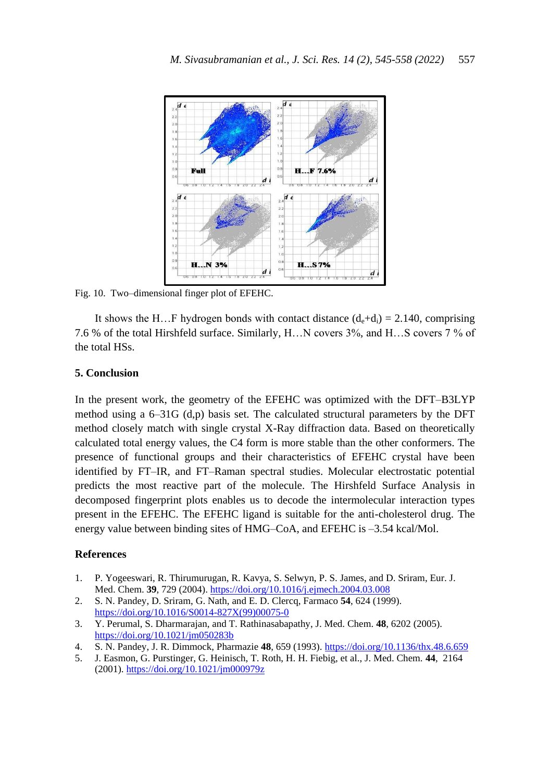

Fig. 10. Two–dimensional finger plot of EFEHC.

It shows the H…F hydrogen bonds with contact distance  $(d_e+d_i) = 2.140$ , comprising 7.6 % of the total Hirshfeld surface. Similarly, H…N covers 3%, and H…S covers 7 % of the total HSs.

#### **5. Conclusion**

In the present work, the geometry of the EFEHC was optimized with the DFT–B3LYP method using a 6–31G (d,p) basis set. The calculated structural parameters by the DFT method closely match with single crystal X-Ray diffraction data. Based on theoretically calculated total energy values, the C4 form is more stable than the other conformers. The presence of functional groups and their characteristics of EFEHC crystal have been identified by FT–IR, and FT–Raman spectral studies. Molecular electrostatic potential predicts the most reactive part of the molecule. The Hirshfeld Surface Analysis in decomposed fingerprint plots enables us to decode the intermolecular interaction types present in the EFEHC. The EFEHC ligand is suitable for the anti-cholesterol drug. The energy value between binding sites of HMG–CoA, and EFEHC is –3.54 kcal/Mol.

#### **References**

- 1. P. Yogeeswari, R. Thirumurugan, R. Kavya, S. Selwyn, P. S. James, and D. Sriram, Eur. J. Med. Chem. **39**, 729 (2004).<https://doi.org/10.1016/j.ejmech.2004.03.008>
- 2. S. N. Pandey, D. Sriram, G. Nath, and E. D. Clercq, Farmaco **54**, 624 (1999). [https://doi.org/10.1016/S0014-827X\(99\)00075-0](https://doi.org/10.1016/S0014-827X(99)00075-0)
- 3. Y. Perumal, S. Dharmarajan, and T. Rathinasabapathy, J. Med. Chem. **48**, 6202 (2005). <https://doi.org/10.1021/jm050283b>
- 4. S. N. Pandey, J. R. Dimmock, Pharmazie **48**, 659 (1993)[. https://doi.org/10.1136/thx.48.6.659](https://doi.org/10.1136/thx.48.6.659)
- 5. J. Easmon, G. Purstinger, G. Heinisch, T. Roth, H. H. Fiebig, et al., J. Med. Chem. **44**, 2164 (2001)[. https://doi.org/10.1021/jm000979z](https://doi.org/10.1021/jm000979z)